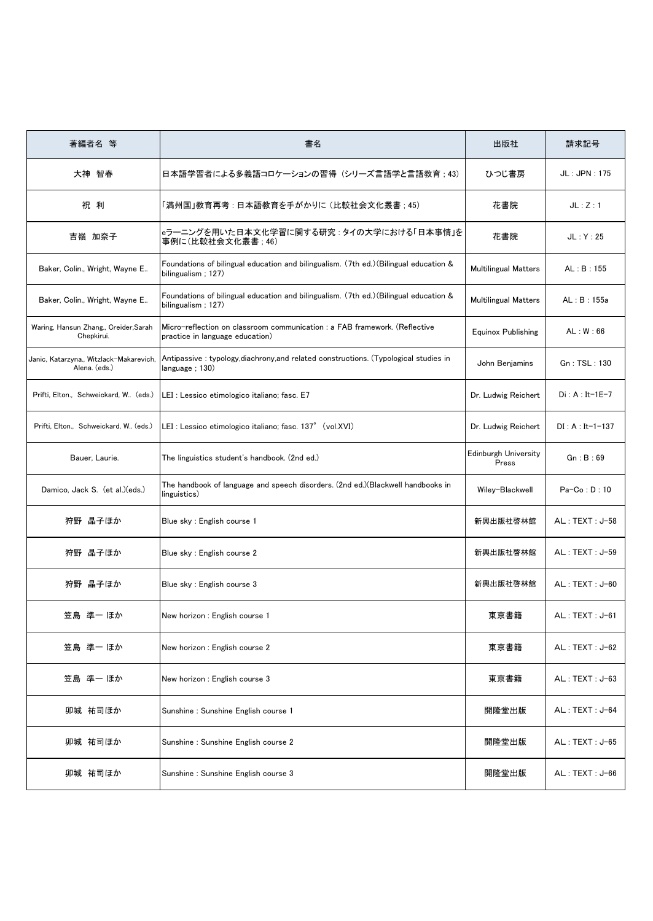| 著編者名 等                                                   | 書名                                                                                                            | 出版社                                  | 請求記号              |
|----------------------------------------------------------|---------------------------------------------------------------------------------------------------------------|--------------------------------------|-------------------|
| 大神 智春                                                    | 日本語学習者による多義語コロケーションの習得(シリーズ言語学と言語教育 : 43)                                                                     | ひつじ書房                                | JL: JPN: 175      |
| 祝利                                                       | 「満州国」教育再考 : 日本語教育を手がかりに (比較社会文化叢書 ; 45)                                                                       | 花書院                                  | JL:Z:1            |
| 吉嶺 加奈子                                                   | eラーニングを用いた日本文化学習に関する研究 : タイの大学における「日本事情」を<br>事例に(比較社会文化叢書 : 46)                                               | 花書院                                  | JL: Y: 25         |
| Baker, Colin., Wright, Wayne E                           | Foundations of bilingual education and bilingualism. (7th ed.)(Bilingual education &<br>bilingualism ; 127)   | <b>Multilingual Matters</b>          | AL:B:155          |
| Baker, Colin., Wright, Wayne E                           | Foundations of bilingual education and bilingualism. (7th ed.) (Bilingual education &<br>bilingualism: 127)   | <b>Multilingual Matters</b>          | AL:B:155a         |
| Waring, Hansun Zhang., Creider, Sarah<br>Chepkirui.      | Micro-reflection on classroom communication : a FAB framework. (Reflective<br>practice in language education) | <b>Equinox Publishing</b>            | AL: W: 66         |
| Janic, Katarzyna., Witzlack-Makarevich,<br>Alena. (eds.) | Antipassive : typology, diachrony, and related constructions. (Typological studies in<br>language ; 130)      | John Benjamins                       | Gn : TSL : 130    |
| Prifti, Elton., Schweickard, W., (eds.)                  | LEI : Lessico etimologico italiano; fasc. E7                                                                  | Dr. Ludwig Reichert                  | $Di: A: It-1E-7$  |
| Prifti, Elton., Schweickard, W (eds.)                    | LEI : Lessico etimologico italiano; fasc. 137° (vol.XVI)                                                      | Dr. Ludwig Reichert                  | $DI: A: It-1-137$ |
| Bauer, Laurie.                                           | The linguistics student's handbook. (2nd ed.)                                                                 | <b>Edinburgh University</b><br>Press | Gn:B:69           |
| Damico, Jack S. (et al.)(eds.)                           | The handbook of language and speech disorders. (2nd ed.)(Blackwell handbooks in<br>linguistics)               | Wiley-Blackwell                      | $Pa-Co: D: 10$    |
| 狩野 晶子ほか                                                  | Blue sky : English course 1                                                                                   | 新興出版社啓林館                             | AL: TEXT: J-58    |
| 狩野 晶子ほか                                                  | Blue sky : English course 2                                                                                   | 新興出版社啓林館                             | AL: TEXT: J-59    |
| 狩野 晶子ほか                                                  | Blue sky : English course 3                                                                                   | 新興出版社啓林館                             | $AL: TEXT: J-60$  |
| 笠島 準一 ほか                                                 | New horizon : English course 1                                                                                | 東京書籍                                 | AL: TEXT: J-61    |
| 笠島 準一 ほか                                                 | New horizon : English course 2                                                                                | 東京書籍                                 | $AL: TEXT: J-62$  |
| 笠島 準一 ほか                                                 | New horizon: English course 3                                                                                 | 東京書籍                                 | $AL: TEXT: J-63$  |
| 卯城 祐司ほか                                                  | Sunshine : Sunshine English course 1                                                                          | 開隆堂出版                                | AL: TEXT: J-64    |
| 卯城 祐司ほか                                                  | Sunshine : Sunshine English course 2                                                                          | 開隆堂出版                                | $AL: TEXT: J-65$  |
| 卯城 祐司ほか                                                  | Sunshine : Sunshine English course 3                                                                          | 開隆堂出版                                | $AL: TEXT: J-66$  |